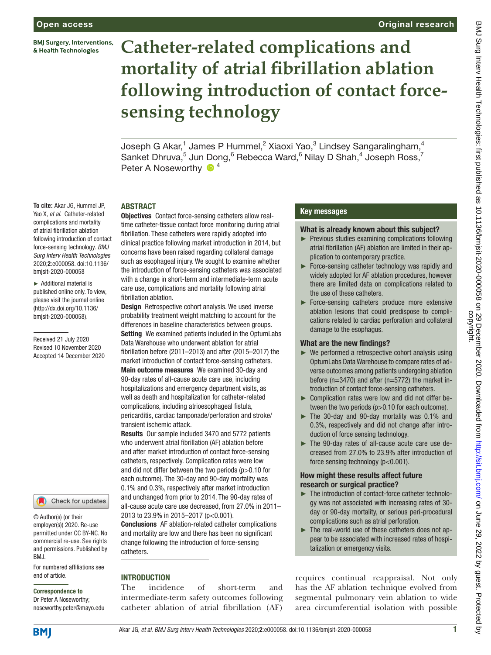**BMJ Surgery, Interventions,** & Health Technologies

**To cite:** Akar JG, Hummel JP, Yao X, *et al*. Catheter-related complications and mortality of atrial fibrillation ablation following introduction of contact force-sensing technology. *BMJ Surg Interv Health Technologies* 2020;2:e000058. doi:10.1136/ bmjsit-2020-000058 ► Additional material is published online only. To view, please visit the journal online (http://dx.doi.org/10.1136/ bmjsit-2020-000058).

Received 21 July 2020 Revised 10 November 2020 Accepted 14 December 2020

# **Catheter-related complications and mortality of atrial fibrillation ablation following introduction of contact forcesensing technology**

Joseph G Akar, $^1$  James P Hummel, $^2$  Xiaoxi Yao, $^3$  Lindsey Sangaralingham, $^4$ Sanket Dhruva,<sup>5</sup> Jun Dong,<sup>6</sup> Rebecca Ward,<sup>6</sup> Nilay D Shah,<sup>4</sup> Joseph Ross,<sup>7</sup> Peter A Noseworthy  $\bullet$ <sup>4</sup>

#### **ARSTRACT**

Objectives Contact force-sensing catheters allow realtime catheter-tissue contact force monitoring during atrial fibrillation. These catheters were rapidly adopted into clinical practice following market introduction in 2014, but concerns have been raised regarding collateral damage such as esophageal injury. We sought to examine whether the introduction of force-sensing catheters was associated with a change in short-term and intermediate-term acute care use, complications and mortality following atrial fibrillation ablation.

Design Retrospective cohort analysis. We used inverse probability treatment weight matching to account for the differences in baseline characteristics between groups. Setting We examined patients included in the OptumLabs Data Warehouse who underwent ablation for atrial fibrillation before (2011–2013) and after (2015–2017) the market introduction of contact force-sensing catheters. Main outcome measures We examined 30-day and 90-day rates of all-cause acute care use, including hospitalizations and emergency department visits, as well as death and hospitalization for catheter-related complications, including atrioesophageal fistula, pericarditis, cardiac tamponade/perforation and stroke/ transient ischemic attack.

Results Our sample included 3470 and 5772 patients who underwent atrial fibrillation (AF) ablation before and after market introduction of contact force-sensing catheters, respectively. Complication rates were low and did not differ between the two periods (p>0.10 for each outcome). The 30-day and 90-day mortality was 0.1% and 0.3%, respectively after market introduction and unchanged from prior to 2014. The 90-day rates of all-cause acute care use decreased, from 27.0% in 2011– 2013 to 23.9% in 2015–2017 (p<0.001).

Conclusions AF ablation-related catheter complications and mortality are low and there has been no significant change following the introduction of force-sensing catheters.

#### **INTRODUCTION**

Correspondence to Dr Peter A Noseworthy; noseworthy.peter@mayo.edu

end of article.

BMJ.

© Author(s) (or their employer(s)) 2020. Re-use permitted under CC BY-NC. No commercial re-use. See rights and permissions. Published by

For numbered affiliations see

Check for updates

The incidence of short-term and intermediate-term safety outcomes following catheter ablation of atrial fibrillation (AF)

#### Key messages

#### What is already known about this subject?

- ► Previous studies examining complications following atrial fibrillation (AF) ablation are limited in their application to contemporary practice.
- ► Force-sensing catheter technology was rapidly and widely adopted for AF ablation procedures, however there are limited data on complications related to the use of these catheters.
- ► Force-sensing catheters produce more extensive ablation lesions that could predispose to complications related to cardiac perforation and collateral damage to the esophagus.

#### What are the new findings?

- ► We performed a retrospective cohort analysis using OptumLabs Data Warehouse to compare rates of adverse outcomes among patients undergoing ablation before (n=3470) and after (n=5772) the market introduction of contact force-sensing catheters.
- ► Complication rates were low and did not differ between the two periods (p>0.10 for each outcome).
- ► The 30-day and 90-day mortality was 0.1% and 0.3%, respectively and did not change after introduction of force sensing technology.
- ► The 90-day rates of all-cause acute care use decreased from 27.0% to 23.9% after introduction of force sensing technology (p<0.001).

#### How might these results affect future research or surgical practice?

- ► The introduction of contact-force catheter technology was not associated with increasing rates of 30 day or 90-day mortality, or serious peri-procedural complications such as atrial perforation.
- ► The real-world use of these catheters does not appear to be associated with increased rates of hospitalization or emergency visits.

requires continual reappraisal. Not only has the AF ablation technique evolved from segmental pulmonary vein ablation to wide area circumferential isolation with possible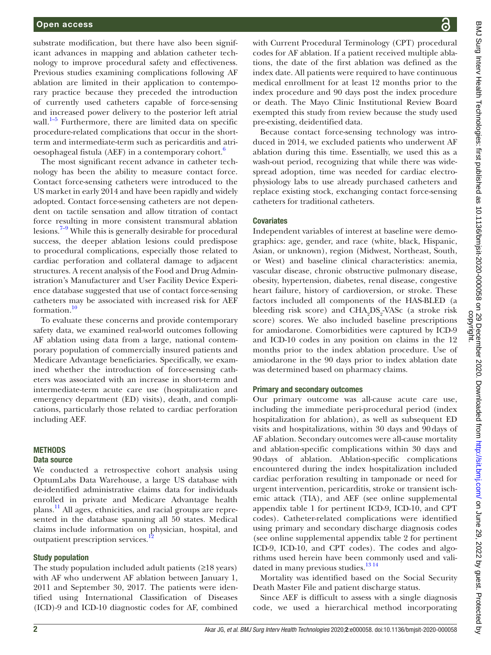substrate modification, but there have also been significant advances in mapping and ablation catheter technology to improve procedural safety and effectiveness. Previous studies examining complications following AF ablation are limited in their application to contemporary practice because they preceded the introduction of currently used catheters capable of force-sensing and increased power delivery to the posterior left atrial wall. $1-5$  Furthermore, there are limited data on specific procedure-related complications that occur in the shortterm and intermediate-term such as pericarditis and atrioesophageal fistula (AEF) in a contemporary cohort.<sup>6</sup>

The most significant recent advance in catheter technology has been the ability to measure contact force. Contact force-sensing catheters were introduced to the US market in early 2014 and have been rapidly and widely adopted. Contact force-sensing catheters are not dependent on tactile sensation and allow titration of contact force resulting in more consistent transmural ablation lesions.<sup>7–9</sup> While this is generally desirable for procedural success, the deeper ablation lesions could predispose to procedural complications, especially those related to cardiac perforation and collateral damage to adjacent structures. A recent analysis of the Food and Drug Administration's Manufacturer and User Facility Device Experience database suggested that use of contact force-sensing catheters may be associated with increased risk for AEF formation.[10](#page-5-3)

To evaluate these concerns and provide contemporary safety data, we examined real-world outcomes following AF ablation using data from a large, national contemporary population of commercially insured patients and Medicare Advantage beneficiaries. Specifically, we examined whether the introduction of force-sensing catheters was associated with an increase in short-term and intermediate-term acute care use (hospitalization and emergency department (ED) visits), death, and complications, particularly those related to cardiac perforation including AEF.

#### **METHODS**

#### Data source

We conducted a retrospective cohort analysis using OptumLabs Data Warehouse, a large US database with de-identified administrative claims data for individuals enrolled in private and Medicare Advantage health plans.<sup>11</sup> All ages, ethnicities, and racial groups are represented in the database spanning all 50 states. Medical claims include information on physician, hospital, and outpatient prescription services.<sup>1</sup>

#### Study population

The study population included adult patients (≥18 years) with AF who underwent AF ablation between January 1, 2011 and September 30, 2017. The patients were identified using International Classification of Diseases (ICD)-9 and ICD-10 diagnostic codes for AF, combined

with Current Procedural Terminology (CPT) procedural codes for AF ablation. If a patient received multiple ablations, the date of the first ablation was defined as the index date. All patients were required to have continuous medical enrollment for at least 12 months prior to the index procedure and 90 days post the index procedure or death. The Mayo Clinic Institutional Review Board exempted this study from review because the study used pre-existing, deidentified data.

Because contact force-sensing technology was introduced in 2014, we excluded patients who underwent AF ablation during this time. Essentially, we used this as a wash-out period, recognizing that while there was widespread adoption, time was needed for cardiac electrophysiology labs to use already purchased catheters and replace existing stock, exchanging contact force-sensing catheters for traditional catheters.

#### **Covariates**

Independent variables of interest at baseline were demographics: age, gender, and race (white, black, Hispanic, Asian, or unknown), region (Midwest, Northeast, South, or West) and baseline clinical characteristics: anemia, vascular disease, chronic obstructive pulmonary disease, obesity, hypertension, diabetes, renal disease, congestive heart failure, history of cardioversion, or stroke. These factors included all components of the HAS-BLED (a bleeding risk score) and CHA<sub>2</sub>DS<sub>2</sub>-VASc (a stroke risk score) scores. We also included baseline prescriptions for amiodarone. Comorbidities were captured by ICD-9 and ICD-10 codes in any position on claims in the 12 months prior to the index ablation procedure. Use of amiodarone in the 90 days prior to index ablation date was determined based on pharmacy claims.

#### Primary and secondary outcomes

Our primary outcome was all-cause acute care use, including the immediate peri-procedural period (index hospitalization for ablation), as well as subsequent ED visits and hospitalizations, within 30 days and 90days of AF ablation. Secondary outcomes were all-cause mortality and ablation-specific complications within 30 days and 90days of ablation. Ablation-specific complications encountered during the index hospitalization included cardiac perforation resulting in tamponade or need for urgent intervention, pericarditis, stroke or transient ischemic attack (TIA), and AEF (see [online supplemental](https://dx.doi.org/10.1136/bmjsit-2020-000058)  [appendix table 1](https://dx.doi.org/10.1136/bmjsit-2020-000058) for pertinent ICD-9, ICD-10, and CPT codes). Catheter-related complications were identified using primary and secondary discharge diagnosis codes (see [online supplemental appendix table 2](https://dx.doi.org/10.1136/bmjsit-2020-000058) for pertinent ICD-9, ICD-10, and CPT codes). The codes and algorithms used herein have been commonly used and validated in many previous studies.<sup>13 14</sup>

Mortality was identified based on the Social Security Death Master File and patient discharge status.

Since AEF is difficult to assess with a single diagnosis code, we used a hierarchical method incorporating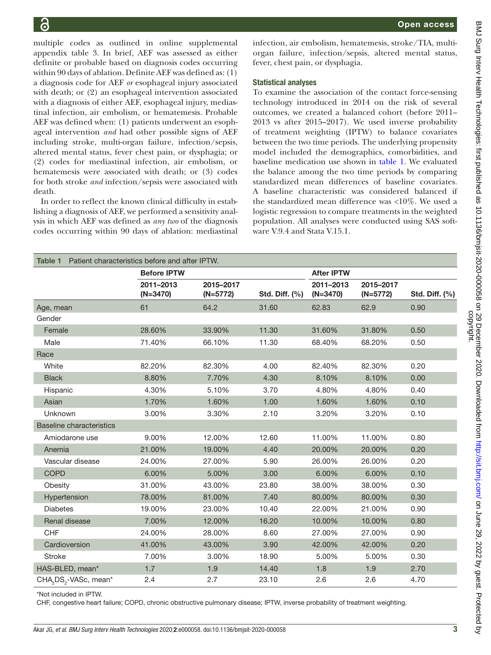multiple codes as outlined in [online supplemental](https://dx.doi.org/10.1136/bmjsit-2020-000058) [appendix table 3.](https://dx.doi.org/10.1136/bmjsit-2020-000058) In brief, AEF was assessed as either definite or probable based on diagnosis codes occurring within 90 days of ablation. Definite AEF was defined as: (1) a diagnosis code for AEF *or* esophageal injury associated with death; or (2) an esophageal intervention associated with a diagnosis of either AEF, esophageal injury, mediastinal infection, air embolism, or hematemesis. Probable AEF was defined when: (1) patients underwent an esophageal intervention *and* had other possible signs of AEF including stroke, multi-organ failure, infection/sepsis, altered mental status, fever chest pain, or dysphagia; or (2) codes for mediastinal infection, air embolism, or hematemesis were associated with death; or (3) codes for both stroke *and* infection/sepsis were associated with death.

In order to reflect the known clinical difficulty in establishing a diagnosis of AEF, we performed a sensitivity analysis in which AEF was defined as *any two* of the diagnosis codes occurring within 90 days of ablation: mediastinal

infection, air embolism, hematemesis, stroke/TIA, multiorgan failure, infection/sepsis, altered mental status, fever, chest pain, or dysphagia.

#### Statistical analyses

To examine the association of the contact force-sensing technology introduced in 2014 on the risk of several outcomes, we created a balanced cohort (before 2011– 2013 vs after 2015–2017). We used inverse probability of treatment weighting (IPTW) to balance covariates between the two time periods. The underlying propensity model included the demographics, comorbidities, and baseline medication use shown in [table](#page-2-0) 1. We evaluated the balance among the two time periods by comparing standardized mean differences of baseline covariates. A baseline characteristic was considered balanced if the standardized mean difference was <10%. We used a logistic regression to compare treatments in the weighted population. All analyses were conducted using SAS software V.9.4 and Stata V.15.1.

<span id="page-2-0"></span>

| Patient characteristics before and after IPTW.<br>Table 1 |                         |                         |                |                         |                         |                |  |  |  |
|-----------------------------------------------------------|-------------------------|-------------------------|----------------|-------------------------|-------------------------|----------------|--|--|--|
|                                                           | <b>Before IPTW</b>      |                         |                | <b>After IPTW</b>       |                         |                |  |  |  |
|                                                           | 2011-2013<br>$(N=3470)$ | 2015-2017<br>$(N=5772)$ | Std. Diff. (%) | 2011-2013<br>$(N=3470)$ | 2015-2017<br>$(N=5772)$ | Std. Diff. (%) |  |  |  |
| Age, mean                                                 | 61                      | 64.2                    | 31.60          | 62.83                   | 62.9                    | 0.90           |  |  |  |
| Gender                                                    |                         |                         |                |                         |                         |                |  |  |  |
| Female                                                    | 28.60%                  | 33.90%                  | 11.30          | 31.60%                  | 31.80%                  | 0.50           |  |  |  |
| Male                                                      | 71.40%                  | 66.10%                  | 11.30          | 68.40%                  | 68.20%                  | 0.50           |  |  |  |
| Race                                                      |                         |                         |                |                         |                         |                |  |  |  |
| White                                                     | 82.20%                  | 82.30%                  | 4.00           | 82.40%                  | 82.30%                  | 0.20           |  |  |  |
| <b>Black</b>                                              | 8.80%                   | 7.70%                   | 4.30           | 8.10%                   | 8.10%                   | 0.00           |  |  |  |
| Hispanic                                                  | 4.30%                   | 5.10%                   | 3.70           | 4.80%                   | 4.80%                   | 0.40           |  |  |  |
| Asian                                                     | 1.70%                   | 1.60%                   | 1.00           | 1.60%                   | 1.60%                   | 0.10           |  |  |  |
| Unknown                                                   | 3.00%                   | 3.30%                   | 2.10           | 3.20%                   | 3.20%                   | 0.10           |  |  |  |
| <b>Baseline characteristics</b>                           |                         |                         |                |                         |                         |                |  |  |  |
| Amiodarone use                                            | 9.00%                   | 12.00%                  | 12.60          | 11.00%                  | 11.00%                  | 0.80           |  |  |  |
| Anemia                                                    | 21.00%                  | 19.00%                  | 4.40           | 20.00%                  | 20.00%                  | 0.20           |  |  |  |
| Vascular disease                                          | 24.00%                  | 27.00%                  | 5.90           | 26.00%                  | 26.00%                  | 0.20           |  |  |  |
| <b>COPD</b>                                               | 6.00%                   | 5.00%                   | 3.00           | 6.00%                   | 6.00%                   | 0.10           |  |  |  |
| Obesity                                                   | 31.00%                  | 43.00%                  | 23.80          | 38.00%                  | 38.00%                  | 0.30           |  |  |  |
| Hypertension                                              | 78.00%                  | 81.00%                  | 7.40           | 80.00%                  | 80.00%                  | 0.30           |  |  |  |
| <b>Diabetes</b>                                           | 19.00%                  | 23.00%                  | 10.40          | 22.00%                  | 21.00%                  | 0.90           |  |  |  |
| Renal disease                                             | 7.00%                   | 12.00%                  | 16.20          | 10.00%                  | 10.00%                  | 0.80           |  |  |  |
| <b>CHF</b>                                                | 24.00%                  | 28.00%                  | 8.60           | 27.00%                  | 27.00%                  | 0.90           |  |  |  |
| Cardioversion                                             | 41.00%                  | 43.00%                  | 3.90           | 42.00%                  | 42.00%                  | 0.20           |  |  |  |
| <b>Stroke</b>                                             | 7.00%                   | 3.00%                   | 18.90          | 5.00%                   | 5.00%                   | 0.30           |  |  |  |
| HAS-BLED, mean*                                           | 1.7                     | 1.9                     | 14.40          | 1.8                     | 1.9                     | 2.70           |  |  |  |
| CHA <sub>2</sub> DS <sub>2</sub> -VASc, mean*             | 2.4                     | 2.7                     | 23.10          | 2.6                     | 2.6                     | 4.70           |  |  |  |

\*Not included in IPTW.

CHF, congestive heart failure; COPD, chronic obstructive pulmonary disease; IPTW, inverse probability of treatment weighting.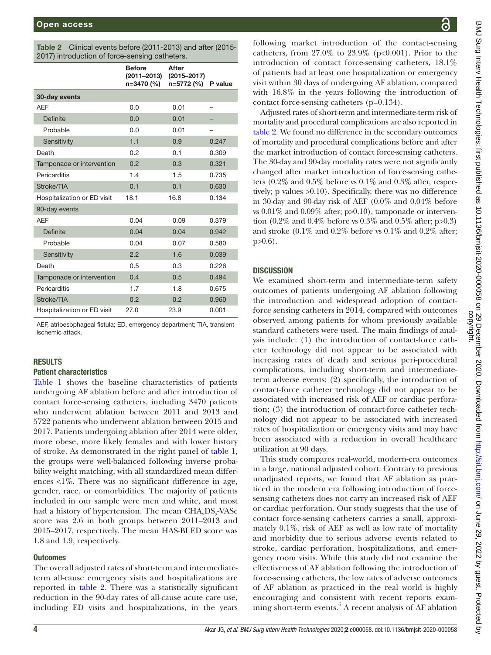<span id="page-3-0"></span>

|  | <b>Table 2</b> Clinical events before (2011-2013) and after (2015- |  |
|--|--------------------------------------------------------------------|--|
|  | 2017) introduction of force-sensing catheters.                     |  |

|                             | <b>Before</b><br>(2011-2013)<br>n=3470 (%) | After<br>$(2015 - 2017)$<br>n=5772 (%) | P value |
|-----------------------------|--------------------------------------------|----------------------------------------|---------|
| 30-day events               |                                            |                                        |         |
| <b>AEF</b>                  | 0.0                                        | 0.01                                   |         |
| Definite                    | 0.0                                        | 0.01                                   |         |
| Probable                    | 0.0                                        | 0.01                                   |         |
| Sensitivity                 | 1.1                                        | 0.9                                    | 0.247   |
| Death                       | 0.2                                        | 0.1                                    | 0.309   |
| Tamponade or intervention   | 0.2                                        | 0.3                                    | 0.321   |
| Pericarditis                | 1.4                                        | 1.5                                    | 0.735   |
| Stroke/TIA                  | 0.1                                        | 0.1                                    | 0.630   |
| Hospitalization or ED visit | 18.1                                       | 16.8                                   | 0.134   |
| 90-day events               |                                            |                                        |         |
| <b>AEF</b>                  | 0.04                                       | 0.09                                   | 0.379   |
| <b>Definite</b>             | 0.04                                       | 0.04                                   | 0.942   |
| Probable                    | 0.04                                       | 0.07                                   | 0.580   |
| Sensitivity                 | 2.2                                        | 1.6                                    | 0.039   |
| Death                       | 0.5                                        | 0.3                                    | 0.226   |
| Tamponade or intervention   | 0.4                                        | 0.5                                    | 0.494   |
| Pericarditis                | 1.7                                        | 1.8                                    | 0.675   |
| Stroke/TIA                  | 0.2                                        | 0.2                                    | 0.960   |
| Hospitalization or ED visit | 27.0                                       | 23.9                                   | 0.001   |

AEF, atrioesophageal fistula; ED, emergency department; TIA, transient ischemic attack.

#### RESULTS

### Patient characteristics

[Table](#page-2-0) 1 shows the baseline characteristics of patients undergoing AF ablation before and after introduction of contact force-sensing catheters, including 3470 patients who underwent ablation between 2011 and 2013 and 5722 patients who underwent ablation between 2015 and 2017. Patients undergoing ablation after 2014 were older, more obese, more likely females and with lower history of stroke. As demonstrated in the right panel of [table](#page-2-0) 1, the groups were well-balanced following inverse probability weight matching, with all standardized mean differences  $\langle 1\% \rangle$ . There was no significant difference in age, gender, race, or comorbidities. The majority of patients included in our sample were men and white, and most had a history of hypertension. The mean  $\mathrm{CHA_{2}DS_{2}}$ -VAS $\mathrm{c}$ score was 2.6 in both groups between 2011–2013 and 2015–2017, respectively. The mean HAS-BLED score was 1.8 and 1.9, respectively.

#### **Outcomes**

The overall adjusted rates of short-term and intermediateterm all-cause emergency visits and hospitalizations are reported in [table](#page-3-0) 2. There was a statistically significant reduction in the 90-day rates of all-cause acute care use, including ED visits and hospitalizations, in the years

following market introduction of the contact-sensing catheters, from  $27.0\%$  to  $23.9\%$  (p<0.001). Prior to the introduction of contact force-sensing catheters, 18.1% of patients had at least one hospitalization or emergency visit within 30 days of undergoing AF ablation, compared with 16.8% in the years following the introduction of contact force-sensing catheters (p=0.134).

Adjusted rates of short-term and intermediate-term risk of mortality and procedural complications are also reported in [table](#page-3-0) 2. We found no difference in the secondary outcomes of mortality and procedural complications before and after the market introduction of contact force-sensing catheters. The 30-day and 90-day mortality rates were not significantly changed after market introduction of force-sensing catheters (0.2% and 0.5% before vs 0.1% and 0.3% after, respectively; p values >0.10). Specifically, there was no difference in 30-day and 90-day risk of AEF (0.0% and 0.04% before vs  $0.01\%$  and  $0.09\%$  after; p $>0.10$ ), tamponade or intervention  $(0.2\%$  and  $0.4\%$  before vs  $0.3\%$  and  $0.5\%$  after; p $>0.3$ ) and stroke (0.1% and 0.2% before vs 0.1% and 0.2% after;  $p>0.6$ ).

### **DISCUSSION**

We examined short-term and intermediate-term safety outcomes of patients undergoing AF ablation following the introduction and widespread adoption of contactforce sensing catheters in 2014, compared with outcomes observed among patients for whom previously available standard catheters were used. The main findings of analysis include: (1) the introduction of contact-force catheter technology did not appear to be associated with increasing rates of death and serious peri-procedural complications, including short-term and intermediateterm adverse events; (2) specifically, the introduction of contact-force catheter technology did not appear to be associated with increased risk of AEF or cardiac perforation; (3) the introduction of contact-force catheter technology did not appear to be associated with increased rates of hospitalization or emergency visits and may have been associated with a reduction in overall healthcare utilization at 90 days.

This study compares real-world, modern-era outcomes in a large, national adjusted cohort. Contrary to previous unadjusted reports, we found that AF ablation as practiced in the modern era following introduction of forcesensing catheters does not carry an increased risk of AEF or cardiac perforation. Our study suggests that the use of contact force-sensing catheters carries a small, approximately 0.1%, risk of AEF as well as low rate of mortality and morbidity due to serious adverse events related to stroke, cardiac perforation, hospitalizations, and emergency room visits. While this study did not examine the effectiveness of AF ablation following the introduction of force-sensing catheters, the low rates of adverse outcomes of AF ablation as practiced in the real world is highly encouraging and consistent with recent reports exam-ining short-term events.<sup>[6](#page-5-1)</sup> A recent analysis of AF ablation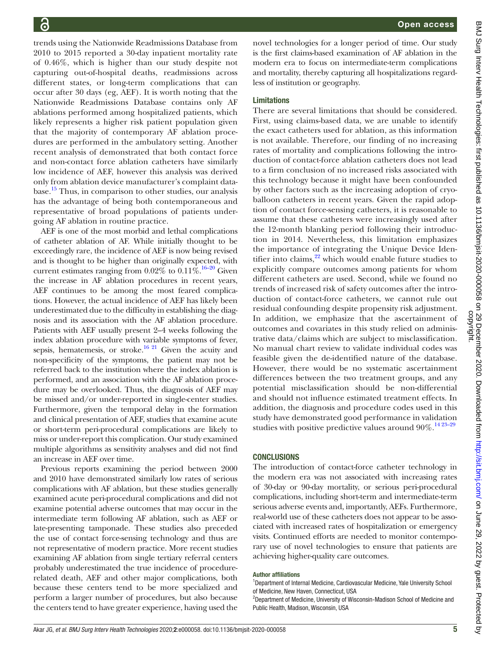trends using the Nationwide Readmissions Database from novel technologies for a longer period of time. Our study is the first claims-based examination of AF ablation in the modern era to focus on intermediate-term complications and mortality, thereby capturing all hospitalizations regardless of institution or geography. Limitations There are several limitations that should be considered. First, using claims-based data, we are unable to identify the exact catheters used for ablation, as this information is not available. Therefore, our finding of no increasing rates of mortality and complications following the introduction of contact-force ablation catheters does not lead to a firm conclusion of no increased risks associated with this technology because it might have been confounded by other factors such as the increasing adoption of cryoballoon catheters in recent years. Given the rapid adoption of contact force-sensing catheters, it is reasonable to assume that these catheters were increasingly used after the 12-month blanking period following their introduction in 2014. Nevertheless, this limitation emphasizes the importance of integrating the Unique Device Identifier into claims, $^{22}$  which would enable future studies to explicitly compare outcomes among patients for whom different catheters are used. Second, while we found no trends of increased risk of safety outcomes after the introduction of contact-force catheters, we cannot rule out residual confounding despite propensity risk adjustment. In addition, we emphasize that the ascertainment of outcomes and covariates in this study relied on administrative data/claims which are subject to misclassification. No manual chart review to validate individual codes was feasible given the de-identified nature of the database. However, there would be no systematic ascertainment differences between the two treatment groups, and any

2010 to 2015 reported a 30-day inpatient mortality rate of 0.46%, which is higher than our study despite not capturing out-of-hospital deaths, readmissions across different states, or long-term complications that can occur after 30 days (eg, AEF). It is worth noting that the Nationwide Readmissions Database contains only AF ablations performed among hospitalized patients, which likely represents a higher risk patient population given that the majority of contemporary AF ablation procedures are performed in the ambulatory setting. Another recent analysis of demonstrated that both contact force and non-contact force ablation catheters have similarly low incidence of AEF, however this analysis was derived only from ablation device manufacturer's complaint database.<sup>15</sup> Thus, in comparison to other studies, our analysis has the advantage of being both contemporaneous and representative of broad populations of patients undergoing AF ablation in routine practice.

AEF is one of the most morbid and lethal complications of catheter ablation of AF. While initially thought to be exceedingly rare, the incidence of AEF is now being revised and is thought to be higher than originally expected, with current estimates ranging from  $0.02\%$  to  $0.11\%$ .<sup>16–20</sup> Given the increase in AF ablation procedures in recent years, AEF continues to be among the most feared complications. However, the actual incidence of AEF has likely been underestimated due to the difficulty in establishing the diagnosis and its association with the AF ablation procedure. Patients with AEF usually present 2–4 weeks following the index ablation procedure with variable symptoms of fever, sepsis, hematemesis, or stroke.<sup>16 21</sup> Given the acuity and non-specificity of the symptoms, the patient may not be referred back to the institution where the index ablation is performed, and an association with the AF ablation procedure may be overlooked. Thus, the diagnosis of AEF may be missed and/or under-reported in single-center studies. Furthermore, given the temporal delay in the formation and clinical presentation of AEF, studies that examine acute or short-term peri-procedural complications are likely to miss or under-report this complication. Our study examined multiple algorithms as sensitivity analyses and did not find an increase in AEF over time.

Previous reports examining the period between 2000 and 2010 have demonstrated similarly low rates of serious complications with AF ablation, but these studies generally examined acute peri-procedural complications and did not examine potential adverse outcomes that may occur in the intermediate term following AF ablation, such as AEF or late-presenting tamponade. These studies also preceded the use of contact force-sensing technology and thus are not representative of modern practice. More recent studies examining AF ablation from single tertiary referral centers probably underestimated the true incidence of procedurerelated death, AEF and other major complications, both because these centers tend to be more specialized and perform a larger number of procedures, but also because the centers tend to have greater experience, having used the

# **CONCLUSIONS**

The introduction of contact-force catheter technology in the modern era was not associated with increasing rates of 30-day or 90-day mortality, or serious peri-procedural complications, including short-term and intermediate-term serious adverse events and, importantly, AEFs. Furthermore, real-world use of these catheters does not appear to be associated with increased rates of hospitalization or emergency visits. Continued efforts are needed to monitor contemporary use of novel technologies to ensure that patients are achieving higher-quality care outcomes.

potential misclassification should be non-differential and should not influence estimated treatment effects. In addition, the diagnosis and procedure codes used in this study have demonstrated good performance in validation studies with positive predictive values around  $90\%$ .<sup>14 23-29</sup>

#### Author affiliations

<sup>1</sup>Department of Internal Medicine, Cardiovascular Medicine, Yale University School of Medicine, New Haven, Connecticut, USA

<sup>2</sup>Department of Medicine, University of Wisconsin-Madison School of Medicine and Public Health, Madison, Wisconsin, USA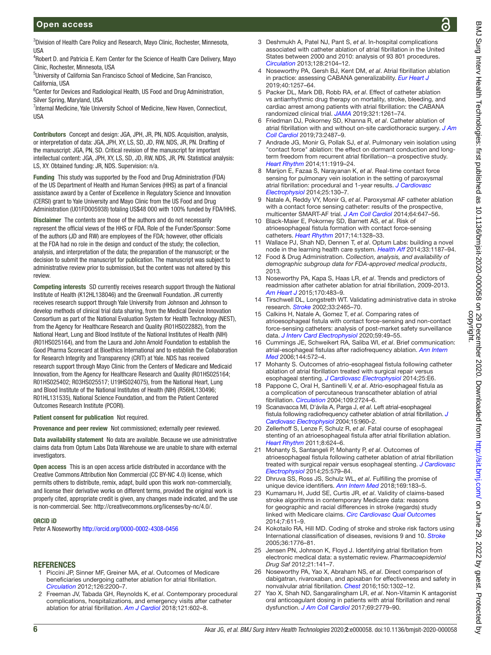## Open access

4 Robert D. and Patricia E. Kern Center for the Science of Health Care Delivery, Mayo Clinic, Rochester, Minnesota, USA

5 University of California San Francisco School of Medicine, San Francisco, California, USA

<sup>6</sup> Center for Devices and Radiological Health, US Food and Drug Administration, Silver Spring, Maryland, USA

<sup>7</sup>Internal Medicine, Yale University School of Medicine, New Haven, Connecticut, **IISA** 

Contributors Concept and design: JGA, JPH, JR, PN, NDS. Acquisition, analysis, or interpretation of data: JGA, JPH, XY, LS, SD, JD, RW, NDS, JR, PN. Drafting of the manuscript: JGA, PN, SD. Critical revision of the manuscript for important intellectual content: JGA, JPH, XY, LS, SD, JD, RW, NDS, JR, PN. Statistical analysis: LS, XY. Obtained funding: JR, NDS. Supervision: n/a.

Funding This study was supported by the Food and Drug Administration (FDA) of the US Department of Health and Human Services (HHS) as part of a financial assistance award by a Center of Excellence in Regulatory Science and Innovation (CERSI) grant to Yale University and Mayo Clinic from the US Food and Drug Administration (U01FD005938) totaling US\$48 000 with 100% funded by FDA/HHS.

Disclaimer The contents are those of the authors and do not necessarily represent the official views of the HHS or FDA. Role of the Funder/Sponsor: Some of the authors (JD and RW) are employees of the FDA; however, other officials at the FDA had no role in the design and conduct of the study; the collection, analysis, and interpretation of the data; the preparation of the manuscript; or the decision to submit the manuscript for publication. The manuscript was subject to administrative review prior to submission, but the content was not altered by this review.

Competing interests SD currently receives research support through the National Institute of Health (K12HL138046) and the Greenwall Foundation. JR currently receives research support through Yale University from Johnson and Johnson to develop methods of clinical trial data sharing, from the Medical Device Innovation Consortium as part of the National Evaluation System for Health Technology (NEST), from the Agency for Healthcare Research and Quality (R01HS022882), from the National Heart, Lung and Blood Institute of the National Institutes of Health (NIH) (R01HS025164), and from the Laura and John Arnold Foundation to establish the Good Pharma Scorecard at Bioethics International and to establish the Collaboration for Research Integrity and Transparency (CRIT) at Yale. NDS has received research support through Mayo Clinic from the Centers of Medicare and Medicaid Innovation, from the Agency for Healthcare Research and Quality (R01HS025164; R01HS025402; R03HS025517; U19HS024075), from the National Heart, Lung and Blood Institute of the National Institutes of Health (NIH) (R56HL130496; R01HL131535), National Science Foundation, and from the Patient Centered Outcomes Research Institute (PCORI).

Patient consent for publication Not required.

Provenance and peer review Not commissioned; externally peer reviewed.

Data availability statement No data are available. Because we use administrative claims data from Optum Labs Data Warehouse we are unable to share with external investigators.

Open access This is an open access article distributed in accordance with the Creative Commons Attribution Non Commercial (CC BY-NC 4.0) license, which permits others to distribute, remix, adapt, build upon this work non-commercially, and license their derivative works on different terms, provided the original work is properly cited, appropriate credit is given, any changes made indicated, and the use is non-commercial. See: [http://creativecommons.org/licenses/by-nc/4.0/.](http://creativecommons.org/licenses/by-nc/4.0/)

#### ORCID iD

Peter A Noseworthy<http://orcid.org/0000-0002-4308-0456>

#### **REFERENCES**

- <span id="page-5-0"></span>1 Piccini JP, Sinner MF, Greiner MA, *et al*. Outcomes of Medicare beneficiaries undergoing catheter ablation for atrial fibrillation. *[Circulation](http://dx.doi.org/10.1161/CIRCULATIONAHA.112.109330)* 2012;126:2200–7.
- 2 Freeman JV, Tabada GH, Reynolds K, *et al*. Contemporary procedural complications, hospitalizations, and emergency visits after catheter ablation for atrial fibrillation. *[Am J Cardiol](http://dx.doi.org/10.1016/j.amjcard.2017.11.034)* 2018;121:602–8.
- 3 Deshmukh A, Patel NJ, Pant S, *et al*. In-hospital complications associated with catheter ablation of atrial fibrillation in the United States between 2000 and 2010: analysis of 93 801 procedures. *[Circulation](http://dx.doi.org/10.1161/CIRCULATIONAHA.113.003862)* 2013;128:2104–12.
- 4 Noseworthy PA, Gersh BJ, Kent DM, *et al*. Atrial fibrillation ablation in practice: assessing CABANA generalizability. *[Eur Heart J](http://dx.doi.org/10.1093/eurheartj/ehz085)* 2019;40:1257–64.
- 5 Packer DL, Mark DB, Robb RA, *et al*. Effect of catheter ablation vs antiarrhythmic drug therapy on mortality, stroke, bleeding, and cardiac arrest among patients with atrial fibrillation: the CABANA randomized clinical trial. *[JAMA](http://dx.doi.org/10.1001/jama.2019.0693)* 2019;321:1261–74.
- <span id="page-5-1"></span>6 Friedman DJ, Pokorney SD, Khanna R, *et al*. Catheter ablation of atrial fibrillation with and without on-site cardiothoracic surgery. *[J Am](http://dx.doi.org/10.1016/j.jacc.2019.02.036)  [Coll Cardiol](http://dx.doi.org/10.1016/j.jacc.2019.02.036)* 2019;73:2487–9.
- <span id="page-5-2"></span>7 Andrade JG, Monir G, Pollak SJ, *et al*. Pulmonary vein isolation using "contact force" ablation: the effect on dormant conduction and longterm freedom from recurrent atrial fibrillation--a prospective study. *[Heart Rhythm](http://dx.doi.org/10.1016/j.hrthm.2014.07.033)* 2014;11:1919–24.
- 8 Marijon E, Fazaa S, Narayanan K, *et al*. Real-time contact force sensing for pulmonary vein isolation in the setting of paroxysmal atrial fibrillation: procedural and 1-year results. *[J Cardiovasc](http://dx.doi.org/10.1111/jce.12303)  [Electrophysiol](http://dx.doi.org/10.1111/jce.12303)* 2014;25:130–7.
- 9 Natale A, Reddy VY, Monir G, *et al*. Paroxysmal AF catheter ablation with a contact force sensing catheter: results of the prospective, multicenter SMART-AF trial. *[J Am Coll Cardiol](http://dx.doi.org/10.1016/j.jacc.2014.04.072)* 2014;64:647–56.
- <span id="page-5-3"></span>10 Black-Maier E, Pokorney SD, Barnett AS, *et al*. Risk of atrioesophageal fistula formation with contact force-sensing catheters. *[Heart Rhythm](http://dx.doi.org/10.1016/j.hrthm.2017.04.024)* 2017;14:1328–33.
- <span id="page-5-4"></span>11 Wallace PJ, Shah ND, Dennen T, *et al*. Optum Labs: building a novel node in the learning health care system. *[Health Aff](http://dx.doi.org/10.1377/hlthaff.2014.0038)* 2014;33:1187–94.
- <span id="page-5-5"></span>12 Food & Drug Administration. *Collection, analysis, and availability of demographic subgroup data for FDA-approved medical products*, 2013.
- <span id="page-5-6"></span>13 Noseworthy PA, Kapa S, Haas LR, *et al*. Trends and predictors of readmission after catheter ablation for atrial fibrillation, 2009-2013. *[Am Heart J](http://dx.doi.org/10.1016/j.ahj.2015.05.018)* 2015;170:483–9.
- <span id="page-5-10"></span>14 Tirschwell DL, Longstreth WT. Validating administrative data in stroke research. *[Stroke](http://dx.doi.org/10.1161/01.STR.0000032240.28636.BD)* 2002;33:2465–70.
- <span id="page-5-7"></span>15 Calkins H, Natale A, Gomez T, *et al*. Comparing rates of atrioesophageal fistula with contact force-sensing and non-contact force-sensing catheters: analysis of post-market safety surveillance data. *[J Interv Card Electrophysiol](http://dx.doi.org/10.1007/s10840-019-00653-5)* 2020;59:49–55.
- <span id="page-5-8"></span>16 Cummings JE, Schweikert RA, Saliba WI, *et al*. Brief communication: atrial-esophageal fistulas after radiofrequency ablation. *[Ann Intern](http://dx.doi.org/10.7326/0003-4819-144-8-200604180-00007)  [Med](http://dx.doi.org/10.7326/0003-4819-144-8-200604180-00007)* 2006;144:572–4.
- 17 Mohanty S. Outcomes of atrio-esophageal fistula following catheter ablation of atrial fibrillation treated with surgical repair versus esophageal stenting. *[J Cardiovasc Electrophysiol](http://dx.doi.org/10.1111/jce.12494)* 2014;25:E6.
- 18 Pappone C, Oral H, Santinelli V, *et al*. Atrio-esophageal fistula as a complication of percutaneous transcatheter ablation of atrial fibrillation. *[Circulation](http://dx.doi.org/10.1161/01.CIR.0000131866.44650.46)* 2004;109:2724–6.
- 19 Scanavacca MI, D'ávila A, Parga J, *et al*. Left atrial-esophageal fistula following radiofrequency catheter ablation of atrial fibrillation. *[J](http://dx.doi.org/10.1046/j.1540-8167.2004.04083.x)  [Cardiovasc Electrophysiol](http://dx.doi.org/10.1046/j.1540-8167.2004.04083.x)* 2004;15:960–2.
- 20 Zellerhoff S, Lenze F, Schulz R, *et al*. Fatal course of esophageal stenting of an atrioesophageal fistula after atrial fibrillation ablation. *[Heart Rhythm](http://dx.doi.org/10.1016/j.hrthm.2010.10.041)* 2011;8:624–6.
- 21 Mohanty S, Santangeli P, Mohanty P, *et al*. Outcomes of atrioesophageal fistula following catheter ablation of atrial fibrillation treated with surgical repair versus esophageal stenting. *[J Cardiovasc](http://dx.doi.org/10.1111/jce.12386)  [Electrophysiol](http://dx.doi.org/10.1111/jce.12386)* 2014;25:579–84.
- <span id="page-5-9"></span>22 Dhruva SS, Ross JS, Schulz WL, *et al*. Fulfilling the promise of unique device identifiers. *[Ann Intern Med](http://dx.doi.org/10.7326/M18-0526)* 2018;169:183–5.
- 23 Kumamaru H, Judd SE, Curtis JR, *et al*. Validity of claims-based stroke algorithms in contemporary Medicare data: reasons for geographic and racial differences in stroke (regards) study linked with Medicare claims. *[Circ Cardiovasc Qual Outcomes](http://dx.doi.org/10.1161/CIRCOUTCOMES.113.000743)* 2014;7:611–9.
- 24 Kokotailo RA, Hill MD. Coding of stroke and stroke risk factors using International classification of diseases, revisions 9 and 10. *[Stroke](http://dx.doi.org/10.1161/01.STR.0000174293.17959.a1)* 2005;36:1776–81.
- 25 Jensen PN, Johnson K, Floyd J. Identifying atrial fibrillation from electronic medical data: a systematic review. *Pharmacoepidemiol Drug Saf* 2012;21:141–7.
- 26 Noseworthy PA, Yao X, Abraham NS, *et al*. Direct comparison of dabigatran, rivaroxaban, and apixaban for effectiveness and safety in nonvalvular atrial fibrillation. *[Chest](http://dx.doi.org/10.1016/j.chest.2016.07.013)* 2016;150:1302–12.
- 27 Yao X, Shah ND, Sangaralingham LR, *et al*. Non-Vitamin K antagonist oral anticoagulant dosing in patients with atrial fibrillation and renal dysfunction. *[J Am Coll Cardiol](http://dx.doi.org/10.1016/j.jacc.2017.03.600)* 2017;69:2779–90.